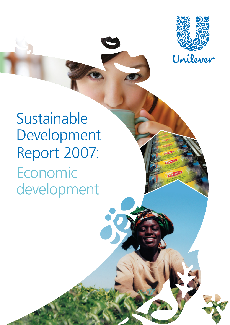

Lipton

**Sustainable** Development Report 2007: Economic development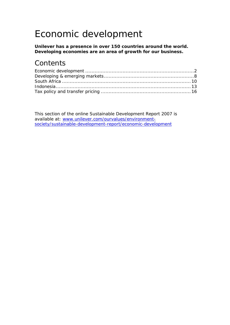# Economic development

**Unilever has a presence in over 150 countries around the world. Developing economies are an area of growth for our business.** 

### **Contents**

This section of the online Sustainable Development Report 2007 is available at: [www.unilever.com/ourvalues/environment](http://www.unilever.com/ourvalues/environment-society/sustainable-development-report/economic-development)[society/sustainable-development-report/economic-development](http://www.unilever.com/ourvalues/environment-society/sustainable-development-report/economic-development)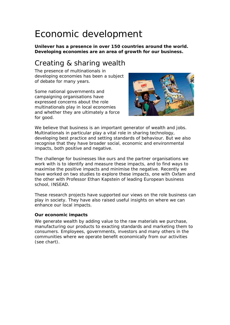# <span id="page-2-0"></span>Economic development

**Unilever has a presence in over 150 countries around the world. Developing economies are an area of growth for our business.** 

## Creating & sharing wealth

The presence of multinationals in developing economies has been a subject of debate for many years.

Some national governments and campaigning organisations have expressed concerns about the role multinationals play in local economies and whether they are ultimately a force for good.



We believe that business is an important generator of wealth and jobs. Multinationals in particular play a vital role in sharing technology, developing best practice and setting standards of behaviour. But we also recognise that they have broader social, economic and environmental impacts, both positive and negative.

The challenge for businesses like ours and the partner organisations we work with is to identify and measure these impacts, and to find ways to maximise the positive impacts and minimise the negative. Recently we have worked on two studies to explore these impacts, one with Oxfam and the other with Professor Ethan Kapstein of leading European business school, INSEAD.

These research projects have supported our views on the role business can play in society. They have also raised useful insights on where we can enhance our local impacts.

#### **Our economic impacts**

We generate wealth by adding value to the raw materials we purchase, manufacturing our products to exacting standards and marketing them to consumers. Employees, governments, investors and many others in the communities where we operate benefit economically from our activities (see chart).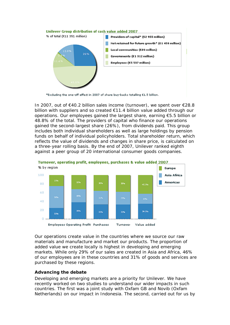

\*Excluding the one-off effect in 2007 of share buy-backs totalling €1.5 billion.

In 2007, out of €40.2 billion sales income (turnover), we spent over €28.8 billion with suppliers and so created €11.4 billion value added through our operations. Our employees gained the largest share, earning €5.5 billion or 48.8% of the total. The providers of capital who finance our operations gained the second-largest share (26%), from dividends paid. This group includes both individual shareholders as well as large holdings by pension funds on behalf of individual policyholders. Total shareholder return, which reflects the value of dividends and changes in share price, is calculated on a three-year rolling basis. By the end of 2007, Unilever ranked eighth against a peer group of 20 international consumer goods companies.



Our operations create value in the countries where we source our raw materials and manufacture and market our products. The proportion of added value we create locally is highest in developing and emerging markets. While only 29% of our sales are created in Asia and Africa, 46% of our employees are in these countries and 31% of goods and services are purchased by these regions.

#### **Advancing the debate**

Developing and emerging markets are a priority for Unilever. We have recently worked on two studies to understand our wider impacts in such countries. The first was a joint study with Oxfam GB and Novib (Oxfam Netherlands) on our impact in Indonesia. The second, carried out for us by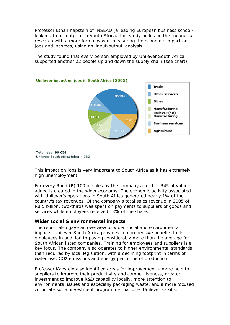Professor Ethan Kapstein of INSEAD (a leading European business school), looked at our footprint in South Africa. This study builds on the Indonesia research with a more formal way of measuring the economic impact on jobs and incomes, using an 'input-output' analysis.

The study found that every person employed by Unilever South Africa supported another 22 people up and down the supply chain (see chart).



#### Unilever impact on jobs in South Africa (2005)

Total jobs: 99 056 Unilever South Africa jobs: 4 382

This impact on jobs is very important to South Africa as it has extremely high unemployment.

For every Rand (R) 100 of sales by the company a further R45 of value added is created in the wider economy. The economic activity associated with Unilever's operations in South Africa generated nearly 1% of the country's tax revenues. Of the company's total sales revenue in 2005 of R8.5 billion, two-thirds was spent on payments to suppliers of goods and services while employees received 13% of the share.

#### **Wider social & environmental impacts**

The report also gave an overview of wider social and environmental impacts. Unilever South Africa provides comprehensive benefits to its employees in addition to paying considerably more than the average for South African listed companies. Training for employees and suppliers is a key focus. The company also operates to higher environmental standards than required by local legislation, with a declining footprint in terms of water use, CO2 emissions and energy per tonne of production.

Professor Kapstein also identified areas for improvement – more help to suppliers to improve their productivity and competitiveness, greater investment to improve R&D capability locally, more attention to environmental issues and especially packaging waste, and a more focused corporate social investment programme that uses Unilever's skills.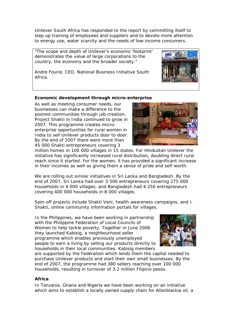Unilever South Africa has responded to the report by committing itself to step up training of employees and suppliers and to devote more attention to energy use, water scarcity and the needs of low-income consumers.

"The scope and depth of Unilever's economic 'footprint' demonstrates the value of large corporations to the country, the economy and the broader society."



Andre Fourie, CEO, National Business Initiative South Africa.

### **Economic development through micro-enterprise**

As well as meeting consumer needs, our businesses can make a difference to the poorest communities through job creation. Project Shakti in India continued to grow in 2007. This programme creates microenterprise opportunities for rural women in India to sell Unilever products door to door. By the end of 2007 there were more than 45 000 Shakti entrepreneurs covering 3



million homes in 100 000 villages in 15 states. For Hindustan Unilever the initiative has significantly increased rural distribution, doubling direct rural reach since it started. For the women, it has provided a significant increase in their incomes as well as giving them a sense of pride and self-worth.

We are rolling out similar initiatives in Sri Lanka and Bangladesh. By the end of 2007, Sri Lanka had over 3 500 entrepreneurs covering 275 000 households in 4 000 villages, and Bangladesh had 4 250 entrepreneurs covering 400 000 households in 8 000 villages.

Spin-off projects include Shakti Vani, health awareness campaigns, and i-Shakti, online community information portals for villages.

In the Philippines, we have been working in partnership with the Philippine Federation of Local Councils of Women to help tackle poverty. Together in June 2006 they launched Kabisig, a neighbourhood seller programme which enables previously unemployed people to earn a living by selling our products directly to households in their local communities. Kabisig members



are supported by the Federation which lends them the capital needed to purchase Unilever products and start their own small businesses. By the end of 2007, the programme had 380 sellers reaching over 100 000 households, resulting in turnover of 3.2 million Filipino pesos.

#### **Africa**

In Tanzania, Ghana and Nigeria we have been working on an initiative which aims to establish a locally owned supply chain for Allanblackia oil, a